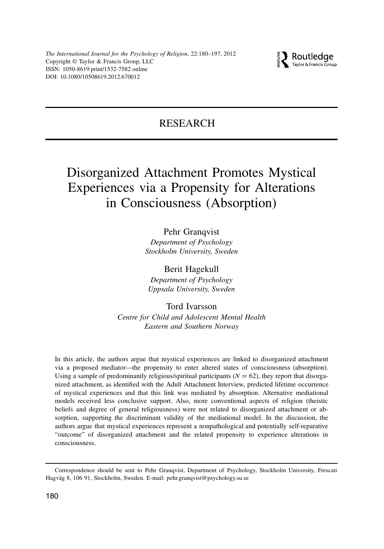The International Journal for the Psychology of Religion, 22:180–197, 2012 Copyright © Taylor & Francis Group, LLC ISSN: 1050-8619 print/1532-7582 online DOI: 10.1080/10508619.2012.670012



## RESEARCH

# Disorganized Attachment Promotes Mystical Experiences via a Propensity for Alterations in Consciousness (Absorption)

Pehr Granqvist

Department of Psychology Stockholm University, Sweden

Berit Hagekull Department of Psychology Uppsala University, Sweden

Tord Ivarsson

Centre for Child and Adolescent Mental Health Eastern and Southern Norway

In this article, the authors argue that mystical experiences are linked to disorganized attachment via a proposed mediator—the propensity to enter altered states of consciousness (absorption). Using a sample of predominantly religious/spiritual participants ( $N = 62$ ), they report that disorganized attachment, as identified with the Adult Attachment Interview, predicted lifetime occurrence of mystical experiences and that this link was mediated by absorption. Alternative mediational models received less conclusive support. Also, more conventional aspects of religion (theistic beliefs and degree of general religiousness) were not related to disorganized attachment or absorption, supporting the discriminant validity of the mediational model. In the discussion, the authors argue that mystical experiences represent a nonpathological and potentially self-reparative "outcome" of disorganized attachment and the related propensity to experience alterations in consciousness.

Correspondence should be sent to Pehr Granqvist, Department of Psychology, Stockholm University, Frescati Hagväg 8, 106 91, Stockholm, Sweden. E-mail: pehr.granqvist@psychology.su.se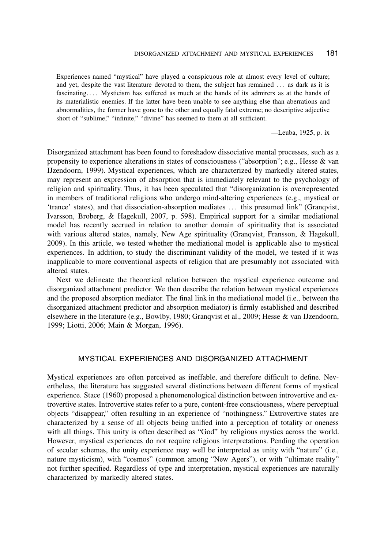Experiences named "mystical" have played a conspicuous role at almost every level of culture; and yet, despite the vast literature devoted to them, the subject has remained ... as dark as it is fascinating.... Mysticism has suffered as much at the hands of its admirers as at the hands of its materialistic enemies. If the latter have been unable to see anything else than aberrations and abnormalities, the former have gone to the other and equally fatal extreme; no descriptive adjective short of "sublime," "infinite," "divine" has seemed to them at all sufficient.

—Leuba, 1925, p. ix

Disorganized attachment has been found to foreshadow dissociative mental processes, such as a propensity to experience alterations in states of consciousness ("absorption"; e.g., Hesse & van IJzendoorn, 1999). Mystical experiences, which are characterized by markedly altered states, may represent an expression of absorption that is immediately relevant to the psychology of religion and spirituality. Thus, it has been speculated that "disorganization is overrepresented in members of traditional religions who undergo mind-altering experiences (e.g., mystical or 'trance' states), and that dissociation-absorption mediates : : : this presumed link" (Granqvist, Ivarsson, Broberg, & Hagekull, 2007, p. 598). Empirical support for a similar mediational model has recently accrued in relation to another domain of spirituality that is associated with various altered states, namely, New Age spirituality (Granqvist, Fransson, & Hagekull, 2009). In this article, we tested whether the mediational model is applicable also to mystical experiences. In addition, to study the discriminant validity of the model, we tested if it was inapplicable to more conventional aspects of religion that are presumably not associated with altered states.

Next we delineate the theoretical relation between the mystical experience outcome and disorganized attachment predictor. We then describe the relation between mystical experiences and the proposed absorption mediator. The final link in the mediational model (i.e., between the disorganized attachment predictor and absorption mediator) is firmly established and described elsewhere in the literature (e.g., Bowlby, 1980; Granqvist et al., 2009; Hesse & van IJzendoorn, 1999; Liotti, 2006; Main & Morgan, 1996).

## MYSTICAL EXPERIENCES AND DISORGANIZED ATTACHMENT

Mystical experiences are often perceived as ineffable, and therefore difficult to define. Nevertheless, the literature has suggested several distinctions between different forms of mystical experience. Stace (1960) proposed a phenomenological distinction between introvertive and extrovertive states. Introvertive states refer to a pure, content-free consciousness, where perceptual objects "disappear," often resulting in an experience of "nothingness." Extrovertive states are characterized by a sense of all objects being unified into a perception of totality or oneness with all things. This unity is often described as "God" by religious mystics across the world. However, mystical experiences do not require religious interpretations. Pending the operation of secular schemas, the unity experience may well be interpreted as unity with "nature" (i.e., nature mysticism), with "cosmos" (common among "New Agers"), or with "ultimate reality" not further specified. Regardless of type and interpretation, mystical experiences are naturally characterized by markedly altered states.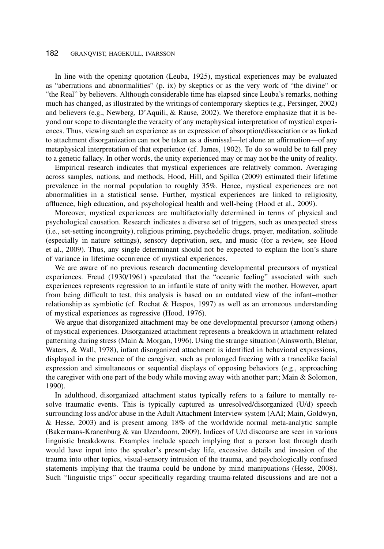In line with the opening quotation (Leuba, 1925), mystical experiences may be evaluated as "aberrations and abnormalities"  $(p, ix)$  by skeptics or as the very work of "the divine" or "the Real" by believers. Although considerable time has elapsed since Leuba's remarks, nothing much has changed, as illustrated by the writings of contemporary skeptics (e.g., Persinger, 2002) and believers (e.g., Newberg, D'Aquili, & Rause, 2002). We therefore emphasize that it is beyond our scope to disentangle the veracity of any metaphysical interpretation of mystical experiences. Thus, viewing such an experience as an expression of absorption/dissociation or as linked to attachment disorganization can not be taken as a dismissal—let alone an affirmation—of any metaphysical interpretation of that experience (cf. James, 1902). To do so would be to fall prey to a genetic fallacy. In other words, the unity experienced may or may not be the unity of reality.

Empirical research indicates that mystical experiences are relatively common. Averaging across samples, nations, and methods, Hood, Hill, and Spilka (2009) estimated their lifetime prevalence in the normal population to roughly 35%. Hence, mystical experiences are not abnormalities in a statistical sense. Further, mystical experiences are linked to religiosity, affluence, high education, and psychological health and well-being (Hood et al., 2009).

Moreover, mystical experiences are multifactorially determined in terms of physical and psychological causation. Research indicates a diverse set of triggers, such as unexpected stress (i.e., set-setting incongruity), religious priming, psychedelic drugs, prayer, meditation, solitude (especially in nature settings), sensory deprivation, sex, and music (for a review, see Hood et al., 2009). Thus, any single determinant should not be expected to explain the lion's share of variance in lifetime occurrence of mystical experiences.

We are aware of no previous research documenting developmental precursors of mystical experiences. Freud (1930/1961) speculated that the "oceanic feeling" associated with such experiences represents regression to an infantile state of unity with the mother. However, apart from being difficult to test, this analysis is based on an outdated view of the infant–mother relationship as symbiotic (cf. Rochat & Hespos, 1997) as well as an erroneous understanding of mystical experiences as regressive (Hood, 1976).

We argue that disorganized attachment may be one developmental precursor (among others) of mystical experiences. Disorganized attachment represents a breakdown in attachment-related patterning during stress (Main & Morgan, 1996). Using the strange situation (Ainsworth, Blehar, Waters, & Wall, 1978), infant disorganized attachment is identified in behavioral expressions, displayed in the presence of the caregiver, such as prolonged freezing with a trancelike facial expression and simultaneous or sequential displays of opposing behaviors (e.g., approaching the caregiver with one part of the body while moving away with another part; Main & Solomon, 1990).

In adulthood, disorganized attachment status typically refers to a failure to mentally resolve traumatic events. This is typically captured as unresolved/disorganized (U/d) speech surrounding loss and/or abuse in the Adult Attachment Interview system (AAI; Main, Goldwyn, & Hesse, 2003) and is present among 18% of the worldwide normal meta-analytic sample (Bakermans-Kranenburg & van IJzendoorn, 2009). Indices of U/d discourse are seen in various linguistic breakdowns. Examples include speech implying that a person lost through death would have input into the speaker's present-day life, excessive details and invasion of the trauma into other topics, visual-sensory intrusion of the trauma, and psychologically confused statements implying that the trauma could be undone by mind manipuations (Hesse, 2008). Such "linguistic trips" occur specifically regarding trauma-related discussions and are not a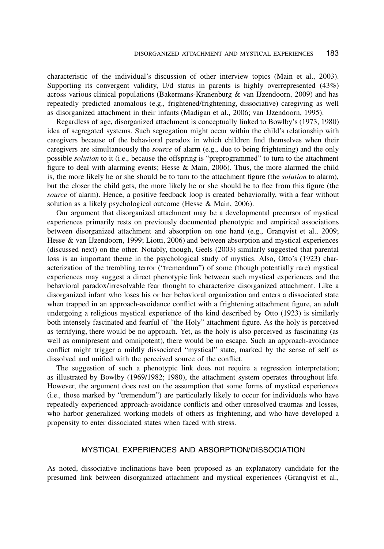characteristic of the individual's discussion of other interview topics (Main et al., 2003). Supporting its convergent validity, U/d status in parents is highly overrepresented (43%) across various clinical populations (Bakermans-Kranenburg & van IJzendoorn, 2009) and has repeatedly predicted anomalous (e.g., frightened/frightening, dissociative) caregiving as well as disorganized attachment in their infants (Madigan et al., 2006; van IJzendoorn, 1995).

Regardless of age, disorganized attachment is conceptually linked to Bowlby's (1973, 1980) idea of segregated systems. Such segregation might occur within the child's relationship with caregivers because of the behavioral paradox in which children find themselves when their caregivers are simultaneously the *source* of alarm (e.g., due to being frightening) and the only possible *solution* to it (i.e., because the offspring is "preprogrammed" to turn to the attachment figure to deal with alarming events; Hesse  $\&$  Main, 2006). Thus, the more alarmed the child is, the more likely he or she should be to turn to the attachment figure (the *solution* to alarm), but the closer the child gets, the more likely he or she should be to flee from this figure (the source of alarm). Hence, a positive feedback loop is created behaviorally, with a fear without solution as a likely psychological outcome (Hesse & Main, 2006).

Our argument that disorganized attachment may be a developmental precursor of mystical experiences primarily rests on previously documented phenotypic and empirical associations between disorganized attachment and absorption on one hand (e.g., Granqvist et al., 2009; Hesse & van IJzendoorn, 1999; Liotti, 2006) and between absorption and mystical experiences (discussed next) on the other. Notably, though, Geels (2003) similarly suggested that parental loss is an important theme in the psychological study of mystics. Also, Otto's (1923) characterization of the trembling terror ("tremendum") of some (though potentially rare) mystical experiences may suggest a direct phenotypic link between such mystical experiences and the behavioral paradox/irresolvable fear thought to characterize disorganized attachment. Like a disorganized infant who loses his or her behavioral organization and enters a dissociated state when trapped in an approach-avoidance conflict with a frightening attachment figure, an adult undergoing a religious mystical experience of the kind described by Otto (1923) is similarly both intensely fascinated and fearful of "the Holy" attachment figure. As the holy is perceived as terrifying, there would be no approach. Yet, as the holy is also perceived as fascinating (as well as omnipresent and omnipotent), there would be no escape. Such an approach-avoidance conflict might trigger a mildly dissociated "mystical" state, marked by the sense of self as dissolved and unified with the perceived source of the conflict.

The suggestion of such a phenotypic link does not require a regression interpretation; as illustrated by Bowlby (1969/1982; 1980), the attachment system operates throughout life. However, the argument does rest on the assumption that some forms of mystical experiences (i.e., those marked by "tremendum") are particularly likely to occur for individuals who have repeatedly experienced approach-avoidance conflicts and other unresolved traumas and losses, who harbor generalized working models of others as frightening, and who have developed a propensity to enter dissociated states when faced with stress.

## MYSTICAL EXPERIENCES AND ABSORPTION/DISSOCIATION

As noted, dissociative inclinations have been proposed as an explanatory candidate for the presumed link between disorganized attachment and mystical experiences (Granqvist et al.,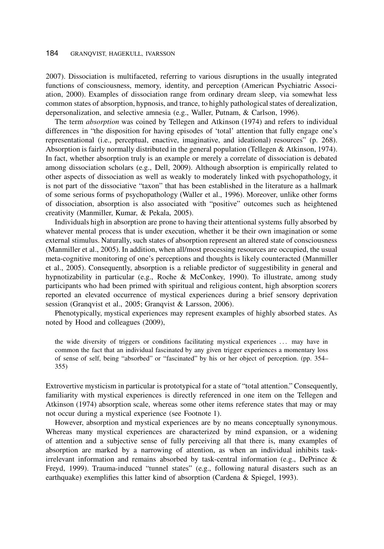2007). Dissociation is multifaceted, referring to various disruptions in the usually integrated functions of consciousness, memory, identity, and perception (American Psychiatric Association, 2000). Examples of dissociation range from ordinary dream sleep, via somewhat less common states of absorption, hypnosis, and trance, to highly pathological states of derealization, depersonalization, and selective amnesia (e.g., Waller, Putnam, & Carlson, 1996).

The term absorption was coined by Tellegen and Atkinson (1974) and refers to individual differences in "the disposition for having episodes of 'total' attention that fully engage one's representational (i.e., perceptual, enactive, imaginative, and ideational) resources" (p. 268). Absorption is fairly normally distributed in the general population (Tellegen & Atkinson, 1974). In fact, whether absorption truly is an example or merely a correlate of dissociation is debated among dissociation scholars (e.g., Dell, 2009). Although absorption is empirically related to other aspects of dissociation as well as weakly to moderately linked with psychopathology, it is not part of the dissociative "taxon" that has been established in the literature as a hallmark of some serious forms of psychopathology (Waller et al., 1996). Moreover, unlike other forms of dissociation, absorption is also associated with "positive" outcomes such as heightened creativity (Manmiller, Kumar, & Pekala, 2005).

Individuals high in absorption are prone to having their attentional systems fully absorbed by whatever mental process that is under execution, whether it be their own imagination or some external stimulus. Naturally, such states of absorption represent an altered state of consciousness (Manmiller et al., 2005). In addition, when all/most processing resources are occupied, the usual meta-cognitive monitoring of one's perceptions and thoughts is likely counteracted (Manmiller et al., 2005). Consequently, absorption is a reliable predictor of suggestibility in general and hypnotizability in particular (e.g., Roche & McConkey, 1990). To illustrate, among study participants who had been primed with spiritual and religious content, high absorption scorers reported an elevated occurrence of mystical experiences during a brief sensory deprivation session (Granqvist et al., 2005; Granqvist & Larsson, 2006).

Phenotypically, mystical experiences may represent examples of highly absorbed states. As noted by Hood and colleagues (2009),

the wide diversity of triggers or conditions facilitating mystical experiences ... may have in common the fact that an individual fascinated by any given trigger experiences a momentary loss of sense of self, being "absorbed" or "fascinated" by his or her object of perception. (pp. 354– 355)

Extrovertive mysticism in particular is prototypical for a state of "total attention." Consequently, familiarity with mystical experiences is directly referenced in one item on the Tellegen and Atkinson (1974) absorption scale, whereas some other items reference states that may or may not occur during a mystical experience (see Footnote 1).

However, absorption and mystical experiences are by no means conceptually synonymous. Whereas many mystical experiences are characterized by mind expansion, or a widening of attention and a subjective sense of fully perceiving all that there is, many examples of absorption are marked by a narrowing of attention, as when an individual inhibits taskirrelevant information and remains absorbed by task-central information (e.g., DePrince  $\&$ Freyd, 1999). Trauma-induced "tunnel states" (e.g., following natural disasters such as an earthquake) exemplifies this latter kind of absorption (Cardena & Spiegel, 1993).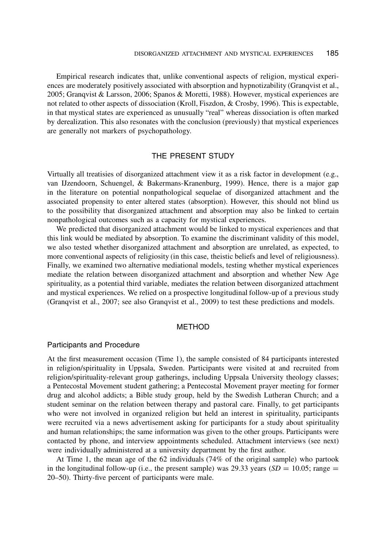Empirical research indicates that, unlike conventional aspects of religion, mystical experiences are moderately positively associated with absorption and hypnotizability (Granqvist et al., 2005; Granqvist & Larsson, 2006; Spanos & Moretti, 1988). However, mystical experiences are not related to other aspects of dissociation (Kroll, Fiszdon, & Crosby, 1996). This is expectable, in that mystical states are experienced as unusually "real" whereas dissociation is often marked by derealization. This also resonates with the conclusion (previously) that mystical experiences are generally not markers of psychopathology.

### THE PRESENT STUDY

Virtually all treatisies of disorganized attachment view it as a risk factor in development (e.g., van IJzendoorn, Schuengel, & Bakermans-Kranenburg, 1999). Hence, there is a major gap in the literature on potential nonpathological sequelae of disorganized attachment and the associated propensity to enter altered states (absorption). However, this should not blind us to the possibility that disorganized attachment and absorption may also be linked to certain nonpathological outcomes such as a capacity for mystical experiences.

We predicted that disorganized attachment would be linked to mystical experiences and that this link would be mediated by absorption. To examine the discriminant validity of this model, we also tested whether disorganized attachment and absorption are unrelated, as expected, to more conventional aspects of religiosity (in this case, theistic beliefs and level of religiousness). Finally, we examined two alternative mediational models, testing whether mystical experiences mediate the relation between disorganized attachment and absorption and whether New Age spirituality, as a potential third variable, mediates the relation between disorganized attachment and mystical experiences. We relied on a prospective longitudinal follow-up of a previous study (Granqvist et al., 2007; see also Granqvist et al., 2009) to test these predictions and models.

## METHOD

#### Participants and Procedure

At the first measurement occasion (Time 1), the sample consisted of 84 participants interested in religion/spirituality in Uppsala, Sweden. Participants were visited at and recruited from religion/spirituality-relevant group gatherings, including Uppsala University theology classes; a Pentecostal Movement student gathering; a Pentecostal Movement prayer meeting for former drug and alcohol addicts; a Bible study group, held by the Swedish Lutheran Church; and a student seminar on the relation between therapy and pastoral care. Finally, to get participants who were not involved in organized religion but held an interest in spirituality, participants were recruited via a news advertisement asking for participants for a study about spirituality and human relationships; the same information was given to the other groups. Participants were contacted by phone, and interview appointments scheduled. Attachment interviews (see next) were individually administered at a university department by the first author.

At Time 1, the mean age of the 62 individuals (74% of the original sample) who partook in the longitudinal follow-up (i.e., the present sample) was 29.33 years ( $SD = 10.05$ ; range  $=$ 20–50). Thirty-five percent of participants were male.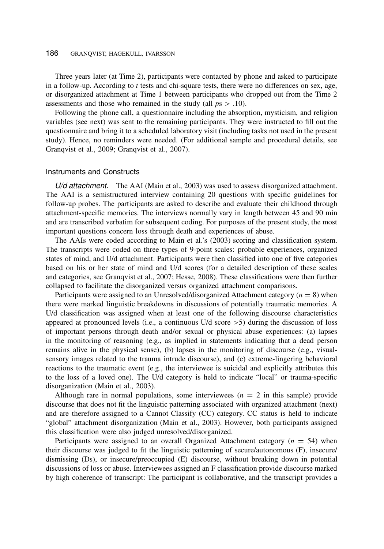Three years later (at Time 2), participants were contacted by phone and asked to participate in a follow-up. According to t tests and chi-square tests, there were no differences on sex, age, or disorganized attachment at Time 1 between participants who dropped out from the Time 2 assessments and those who remained in the study (all  $ps > .10$ ).

Following the phone call, a questionnaire including the absorption, mysticism, and religion variables (see next) was sent to the remaining participants. They were instructed to fill out the questionnaire and bring it to a scheduled laboratory visit (including tasks not used in the present study). Hence, no reminders were needed. (For additional sample and procedural details, see Granqvist et al., 2009; Granqvist et al., 2007).

#### Instruments and Constructs

 $U/d$  attachment. The AAI (Main et al., 2003) was used to assess disorganized attachment. The AAI is a semistructured interview containing 20 questions with specific guidelines for follow-up probes. The participants are asked to describe and evaluate their childhood through attachment-specific memories. The interviews normally vary in length between 45 and 90 min and are transcribed verbatim for subsequent coding. For purposes of the present study, the most important questions concern loss through death and experiences of abuse.

The AAIs were coded according to Main et al.'s (2003) scoring and classification system. The transcripts were coded on three types of 9-point scales: probable experiences, organized states of mind, and U/d attachment. Participants were then classified into one of five categories based on his or her state of mind and U/d scores (for a detailed description of these scales and categories, see Granqvist et al., 2007; Hesse, 2008). These classifications were then further collapsed to facilitate the disorganized versus organized attachment comparisons.

Participants were assigned to an Unresolved/disorganized Attachment category  $(n = 8)$  when there were marked linguistic breakdowns in discussions of potentially traumatic memories. A U/d classification was assigned when at least one of the following discourse characteristics appeared at pronounced levels (i.e., a continuous U/d score  $> 5$ ) during the discussion of loss of important persons through death and/or sexual or physical abuse experiences: (a) lapses in the monitoring of reasoning (e.g., as implied in statements indicating that a dead person remains alive in the physical sense), (b) lapses in the monitoring of discourse (e.g., visualsensory images related to the trauma intrude discourse), and (c) extreme-lingering behavioral reactions to the traumatic event (e.g., the interviewee is suicidal and explicitly attributes this to the loss of a loved one). The U/d category is held to indicate "local" or trauma-specific disorganization (Main et al., 2003).

Although rare in normal populations, some interviewees  $(n = 2$  in this sample) provide discourse that does not fit the linguistic patterning associated with organized attachment (next) and are therefore assigned to a Cannot Classify (CC) category. CC status is held to indicate "global" attachment disorganization (Main et al., 2003). However, both participants assigned this classification were also judged unresolved/disorganized.

Participants were assigned to an overall Organized Attachment category ( $n = 54$ ) when their discourse was judged to fit the linguistic patterning of secure/autonomous (F), insecure/ dismissing (Ds), or insecure/preoccupied (E) discourse, without breaking down in potential discussions of loss or abuse. Interviewees assigned an F classification provide discourse marked by high coherence of transcript: The participant is collaborative, and the transcript provides a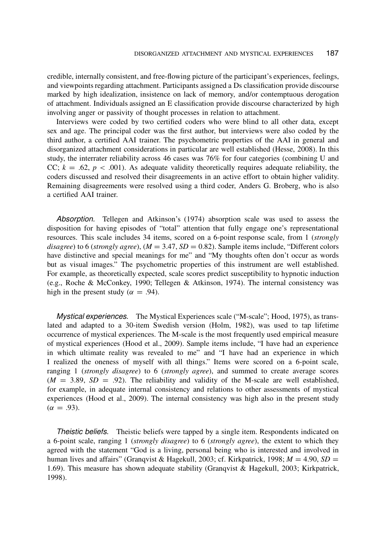credible, internally consistent, and free-flowing picture of the participant's experiences, feelings, and viewpoints regarding attachment. Participants assigned a Ds classification provide discourse marked by high idealization, insistence on lack of memory, and/or contemptuous derogation of attachment. Individuals assigned an E classification provide discourse characterized by high involving anger or passivity of thought processes in relation to attachment.

Interviews were coded by two certified coders who were blind to all other data, except sex and age. The principal coder was the first author, but interviews were also coded by the third author, a certified AAI trainer. The psychometric properties of the AAI in general and disorganized attachment considerations in particular are well established (Hesse, 2008). In this study, the interrater reliability across 46 cases was 76% for four categories (combining U and CC;  $k = .62$ ,  $p < .001$ ). As adequate validity theoretically requires adequate reliability, the coders discussed and resolved their disagreements in an active effort to obtain higher validity. Remaining disagreements were resolved using a third coder, Anders G. Broberg, who is also a certified AAI trainer.

Absorption. Tellegen and Atkinson's (1974) absorption scale was used to assess the disposition for having episodes of "total" attention that fully engage one's representational resources. This scale includes 34 items, scored on a 6-point response scale, from 1 (strongly disagree) to 6 (strongly agree),  $(M = 3.47, SD = 0.82)$ . Sample items include, "Different colors" have distinctive and special meanings for me" and "My thoughts often don't occur as words but as visual images." The psychometric properties of this instrument are well established. For example, as theoretically expected, scale scores predict susceptibility to hypnotic induction (e.g., Roche & McConkey, 1990; Tellegen & Atkinson, 1974). The internal consistency was high in the present study ( $\alpha = .94$ ).

Mystical experiences. The Mystical Experiences scale ("M-scale"; Hood, 1975), as translated and adapted to a 30-item Swedish version (Holm, 1982), was used to tap lifetime occurrence of mystical experiences. The M-scale is the most frequently used empirical measure of mystical experiences (Hood et al., 2009). Sample items include, "I have had an experience in which ultimate reality was revealed to me" and "I have had an experience in which I realized the oneness of myself with all things." Items were scored on a 6-point scale, ranging  $1$  (strongly disagree) to 6 (strongly agree), and summed to create average scores  $(M = 3.89, SD = .92)$ . The reliability and validity of the M-scale are well established, for example, in adequate internal consistency and relations to other assessments of mystical experiences (Hood et al., 2009). The internal consistency was high also in the present study  $(\alpha = .93)$ .

Theistic beliefs. Theistic beliefs were tapped by a single item. Respondents indicated on a 6-point scale, ranging 1 (strongly disagree) to 6 (strongly agree), the extent to which they agreed with the statement "God is a living, personal being who is interested and involved in human lives and affairs" (Granqvist & Hagekull, 2003; cf. Kirkpatrick, 1998;  $M = 4.90$ ,  $SD =$ 1.69). This measure has shown adequate stability (Granqvist & Hagekull, 2003; Kirkpatrick, 1998).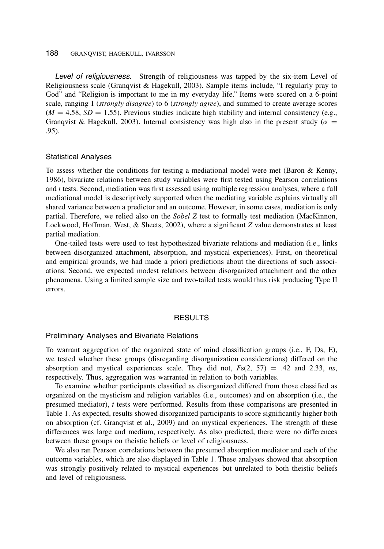Level of religiousness. Strength of religiousness was tapped by the six-item Level of Religiousness scale (Granqvist & Hagekull, 2003). Sample items include, "I regularly pray to God" and "Religion is important to me in my everyday life." Items were scored on a 6-point scale, ranging 1 (strongly disagree) to 6 (strongly agree), and summed to create average scores  $(M = 4.58, SD = 1.55)$ . Previous studies indicate high stability and internal consistency (e.g., Granqvist & Hagekull, 2003). Internal consistency was high also in the present study ( $\alpha =$ .95).

#### Statistical Analyses

To assess whether the conditions for testing a mediational model were met (Baron & Kenny, 1986), bivariate relations between study variables were first tested using Pearson correlations and t tests. Second, mediation was first assessed using multiple regression analyses, where a full mediational model is descriptively supported when the mediating variable explains virtually all shared variance between a predictor and an outcome. However, in some cases, mediation is only partial. Therefore, we relied also on the Sobel Z test to formally test mediation (MacKinnon, Lockwood, Hoffman, West, & Sheets, 2002), where a significant Z value demonstrates at least partial mediation.

One-tailed tests were used to test hypothesized bivariate relations and mediation (i.e., links between disorganized attachment, absorption, and mystical experiences). First, on theoretical and empirical grounds, we had made a priori predictions about the directions of such associations. Second, we expected modest relations between disorganized attachment and the other phenomena. Using a limited sample size and two-tailed tests would thus risk producing Type II errors.

## **RESULTS**

#### Preliminary Analyses and Bivariate Relations

To warrant aggregation of the organized state of mind classification groups (i.e., F, Ds, E), we tested whether these groups (disregarding disorganization considerations) differed on the absorption and mystical experiences scale. They did not,  $Fs(2, 57) = .42$  and 2.33, ns, respectively. Thus, aggregation was warranted in relation to both variables.

To examine whether participants classified as disorganized differed from those classified as organized on the mysticism and religion variables (i.e., outcomes) and on absorption (i.e., the presumed mediator), t tests were performed. Results from these comparisons are presented in Table 1. As expected, results showed disorganized participants to score significantly higher both on absorption (cf. Granqvist et al., 2009) and on mystical experiences. The strength of these differences was large and medium, respectively. As also predicted, there were no differences between these groups on theistic beliefs or level of religiousness.

We also ran Pearson correlations between the presumed absorption mediator and each of the outcome variables, which are also displayed in Table 1. These analyses showed that absorption was strongly positively related to mystical experiences but unrelated to both theistic beliefs and level of religiousness.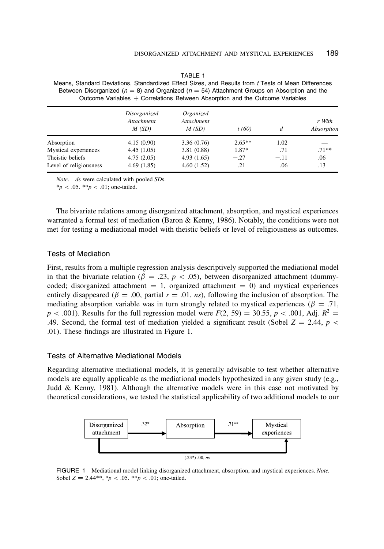|                        | Disorganized<br>Attachment<br>M(SD) | Organized<br>Attachment<br>M(SD) | t(60)    | d      | r With<br>Absorption |
|------------------------|-------------------------------------|----------------------------------|----------|--------|----------------------|
| Absorption             | 4.15(0.90)                          | 3.36(0.76)                       | $2.65**$ | 1.02   |                      |
| Mystical experiences   | 4.45(1.05)                          | 3.81(0.88)                       | 1.87*    | .71    | $.71**$              |
| Theistic beliefs       | 4.75(2.05)                          | 4.93(1.65)                       | $-.27$   | $-.11$ | .06                  |
| Level of religiousness | 4.69(1.85)                          | 4.60(1.52)                       | .21      | .06    | .13                  |

TABLE 1 Means, Standard Deviations, Standardized Effect Sizes, and Results from t Tests of Mean Differences Between Disorganized ( $n = 8$ ) and Organized ( $n = 54$ ) Attachment Groups on Absorption and the Outcome Variables  $+$  Correlations Between Absorption and the Outcome Variables

Note. ds were calculated with pooled SDs.

\*p < .05. \*\*p < .01; one-tailed.

The bivariate relations among disorganized attachment, absorption, and mystical experiences warranted a formal test of mediation (Baron & Kenny, 1986). Notably, the conditions were not met for testing a mediational model with theistic beliefs or level of religiousness as outcomes.

## Tests of Mediation

First, results from a multiple regression analysis descriptively supported the mediational model in that the bivariate relation ( $\beta = .23$ ,  $p < .05$ ), between disorganized attachment (dummycoded; disorganized attachment  $= 1$ , organized attachment  $= 0$ ) and mystical experiences entirely disappeared ( $\beta = 0.00$ , partial  $r = 0.01$ , ns), following the inclusion of absorption. The mediating absorption variable was in turn strongly related to mystical experiences ( $\beta = .71$ ,  $p < .001$ ). Results for the full regression model were  $F(2, 59) = 30.55$ ,  $p < .001$ , Adj.  $R^2 =$ .49. Second, the formal test of mediation yielded a significant result (Sobel  $Z = 2.44$ ,  $p <$ .01). These findings are illustrated in Figure 1.

## Tests of Alternative Mediational Models

Regarding alternative mediational models, it is generally advisable to test whether alternative models are equally applicable as the mediational models hypothesized in any given study (e.g., Judd & Kenny, 1981). Although the alternative models were in this case not motivated by theoretical considerations, we tested the statistical applicability of two additional models to our



FIGURE 1 Mediational model linking disorganized attachment, absorption, and mystical experiences. Note. Sobel  $Z = 2.44**$ , \*p < .05. \*\*p < .01; one-tailed.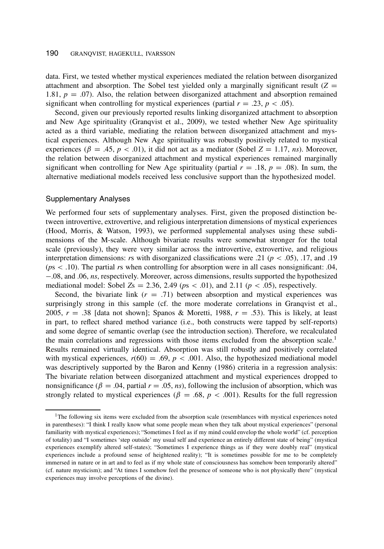data. First, we tested whether mystical experiences mediated the relation between disorganized attachment and absorption. The Sobel test yielded only a marginally significant result  $(Z =$ 1.81,  $p = .07$ ). Also, the relation between disorganized attachment and absorption remained significant when controlling for mystical experiences (partial  $r = .23$ ,  $p < .05$ ).

Second, given our previously reported results linking disorganized attachment to absorption and New Age spirituality (Granqvist et al., 2009), we tested whether New Age spirituality acted as a third variable, mediating the relation between disorganized attachment and mystical experiences. Although New Age spirituality was robustly positively related to mystical experiences ( $\beta = .45$ ,  $p < .01$ ), it did not act as a mediator (Sobel  $Z = 1.17$ , ns). Moreover, the relation between disorganized attachment and mystical experiences remained marginally significant when controlling for New Age spirituality (partial  $r = .18$ ,  $p = .08$ ). In sum, the alternative mediational models received less conclusive support than the hypothesized model.

#### Supplementary Analyses

We performed four sets of supplementary analyses. First, given the proposed distinction between introvertive, extrovertive, and religious interpretation dimensions of mystical experiences (Hood, Morris, & Watson, 1993), we performed supplemental analyses using these subdimensions of the M-scale. Although bivariate results were somewhat stronger for the total scale (previously), they were very similar across the introvertive, extrovertive, and religious interpretation dimensions: rs with disorganized classifications were .21 ( $p < .05$ ), .17, and .19  $(ps < .10)$ . The partial rs when controlling for absorption were in all cases nonsignificant: .04,  $-.08$ , and .06, ns, respectively. Moreover, across dimensions, results supported the hypothesized mediational model: Sobel  $Z_s = 2.36$ , 2.49 ( $ps < .01$ ), and 2.11 ( $p < .05$ ), respectively.

Second, the bivariate link  $(r = .71)$  between absorption and mystical experiences was surprisingly strong in this sample (cf. the more moderate correlations in Granqvist et al., 2005,  $r = 0.38$  [data not shown]; Spanos & Moretti, 1988,  $r = 0.53$ . This is likely, at least in part, to reflect shared method variance (i.e., both constructs were tapped by self-reports) and some degree of semantic overlap (see the introduction section). Therefore, we recalculated the main correlations and regressions with those items excluded from the absorption scale.<sup>1</sup> Results remained virtually identical. Absorption was still robustly and positively correlated with mystical experiences,  $r(60) = .69$ ,  $p < .001$ . Also, the hypothesized mediational model was descriptively supported by the Baron and Kenny (1986) criteria in a regression analysis: The bivariate relation between disorganized attachment and mystical experiences dropped to nonsignificance ( $\beta = .04$ , partial  $r = .05$ , ns), following the inclusion of absorption, which was strongly related to mystical experiences ( $\beta = .68$ ,  $p < .001$ ). Results for the full regression

<sup>&</sup>lt;sup>1</sup>The following six items were excluded from the absorption scale (resemblances with mystical experiences noted in parentheses): "I think I really know what some people mean when they talk about mystical experiences" (personal familiarity with mystical experiences); "Sometimes I feel as if my mind could envelop the whole world" (cf. perception of totality) and "I sometimes 'step outside' my usual self and experience an entirely different state of being" (mystical experiences exemplify altered self-states); "Sometimes I experience things as if they were doubly real" (mystical experiences include a profound sense of heightened reality); "It is sometimes possible for me to be completely immersed in nature or in art and to feel as if my whole state of consciousness has somehow been temporarily altered" (cf. nature mysticism); and "At times I somehow feel the presence of someone who is not physically there" (mystical experiences may involve perceptions of the divine).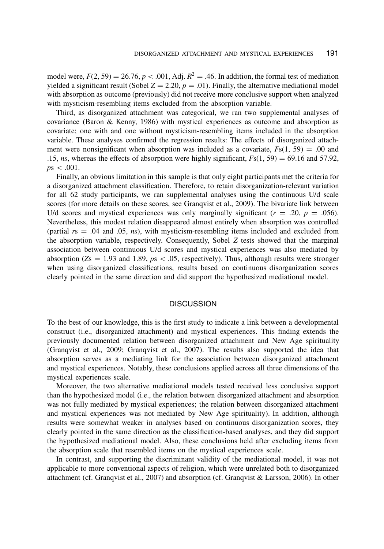model were,  $F(2, 59) = 26.76$ ,  $p < .001$ , Adj.  $R^2 = .46$ . In addition, the formal test of mediation yielded a significant result (Sobel  $Z = 2.20$ ,  $p = .01$ ). Finally, the alternative mediational model with absorption as outcome (previously) did not receive more conclusive support when analyzed with mysticism-resembling items excluded from the absorption variable.

Third, as disorganized attachment was categorical, we ran two supplemental analyses of covariance (Baron & Kenny, 1986) with mystical experiences as outcome and absorption as covariate; one with and one without mysticism-resembling items included in the absorption variable. These analyses confirmed the regression results: The effects of disorganized attachment were nonsignificant when absorption was included as a covariate,  $Fs(1, 59) = .00$  and .15, ns, whereas the effects of absorption were highly significant,  $Fs(1, 59) = 69.16$  and 57.92,  $ps < .001$ .

Finally, an obvious limitation in this sample is that only eight participants met the criteria for a disorganized attachment classification. Therefore, to retain disorganization-relevant variation for all 62 study participants, we ran supplemental analyses using the continuous U/d scale scores (for more details on these scores, see Granqvist et al., 2009). The bivariate link between U/d scores and mystical experiences was only marginally significant ( $r = .20$ ,  $p = .056$ ). Nevertheless, this modest relation disappeared almost entirely when absorption was controlled (partial  $rs = .04$  and  $.05$ , ns), with mysticism-resembling items included and excluded from the absorption variable, respectively. Consequently, Sobel Z tests showed that the marginal association between continuous U/d scores and mystical experiences was also mediated by absorption ( $Z_s = 1.93$  and 1.89,  $ps < .05$ , respectively). Thus, although results were stronger when using disorganized classifications, results based on continuous disorganization scores clearly pointed in the same direction and did support the hypothesized mediational model.

#### **DISCUSSION**

To the best of our knowledge, this is the first study to indicate a link between a developmental construct (i.e., disorganized attachment) and mystical experiences. This finding extends the previously documented relation between disorganized attachment and New Age spirituality (Granqvist et al., 2009; Granqvist et al., 2007). The results also supported the idea that absorption serves as a mediating link for the association between disorganized attachment and mystical experiences. Notably, these conclusions applied across all three dimensions of the mystical experiences scale.

Moreover, the two alternative mediational models tested received less conclusive support than the hypothesized model (i.e., the relation between disorganized attachment and absorption was not fully mediated by mystical experiences; the relation between disorganized attachment and mystical experiences was not mediated by New Age spirituality). In addition, although results were somewhat weaker in analyses based on continuous disorganization scores, they clearly pointed in the same direction as the classification-based analyses, and they did support the hypothesized mediational model. Also, these conclusions held after excluding items from the absorption scale that resembled items on the mystical experiences scale.

In contrast, and supporting the discriminant validity of the mediational model, it was not applicable to more conventional aspects of religion, which were unrelated both to disorganized attachment (cf. Granqvist et al., 2007) and absorption (cf. Granqvist & Larsson, 2006). In other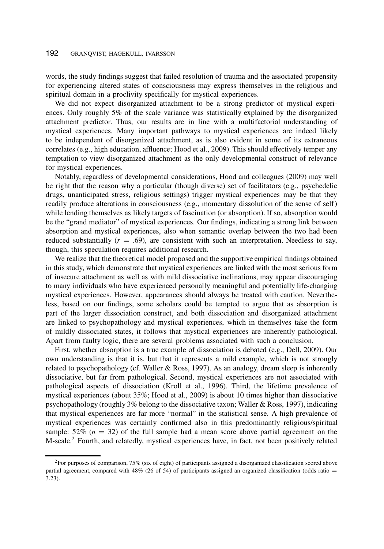words, the study findings suggest that failed resolution of trauma and the associated propensity for experiencing altered states of consciousness may express themselves in the religious and spiritual domain in a proclivity specifically for mystical experiences.

We did not expect disorganized attachment to be a strong predictor of mystical experiences. Only roughly 5% of the scale variance was statistically explained by the disorganized attachment predictor. Thus, our results are in line with a multifactorial understanding of mystical experiences. Many important pathways to mystical experiences are indeed likely to be independent of disorganized attachment, as is also evident in some of its extraneous correlates (e.g., high education, affluence; Hood et al., 2009). This should effectively temper any temptation to view disorganized attachment as the only developmental construct of relevance for mystical experiences.

Notably, regardless of developmental considerations, Hood and colleagues (2009) may well be right that the reason why a particular (though diverse) set of facilitators (e.g., psychedelic drugs, unanticipated stress, religious settings) trigger mystical experiences may be that they readily produce alterations in consciousness (e.g., momentary dissolution of the sense of self) while lending themselves as likely targets of fascination (or absorption). If so, absorption would be the "grand mediator" of mystical experiences. Our findings, indicating a strong link between absorption and mystical experiences, also when semantic overlap between the two had been reduced substantially  $(r = .69)$ , are consistent with such an interpretation. Needless to say, though, this speculation requires additional research.

We realize that the theoretical model proposed and the supportive empirical findings obtained in this study, which demonstrate that mystical experiences are linked with the most serious form of insecure attachment as well as with mild dissociative inclinations, may appear discouraging to many individuals who have experienced personally meaningful and potentially life-changing mystical experiences. However, appearances should always be treated with caution. Nevertheless, based on our findings, some scholars could be tempted to argue that as absorption is part of the larger dissociation construct, and both dissociation and disorganized attachment are linked to psychopathology and mystical experiences, which in themselves take the form of mildly dissociated states, it follows that mystical experiences are inherently pathological. Apart from faulty logic, there are several problems associated with such a conclusion.

First, whether absorption is a true example of dissociation is debated (e.g., Dell, 2009). Our own understanding is that it is, but that it represents a mild example, which is not strongly related to psychopathology (cf. Waller & Ross, 1997). As an analogy, dream sleep is inherently dissociative, but far from pathological. Second, mystical experiences are not associated with pathological aspects of dissociation (Kroll et al., 1996). Third, the lifetime prevalence of mystical experiences (about 35%; Hood et al., 2009) is about 10 times higher than dissociative psychopathology (roughly 3% belong to the dissociative taxon; Waller & Ross, 1997), indicating that mystical experiences are far more "normal" in the statistical sense. A high prevalence of mystical experiences was certainly confirmed also in this predominantly religious/spiritual sample:  $52\%$  ( $n = 32$ ) of the full sample had a mean score above partial agreement on the M-scale.<sup>2</sup> Fourth, and relatedly, mystical experiences have, in fact, not been positively related

<sup>&</sup>lt;sup>2</sup>For purposes of comparison, 75% (six of eight) of participants assigned a disorganized classification scored above partial agreement, compared with 48% (26 of 54) of participants assigned an organized classification (odds ratio  $=$ 3.23).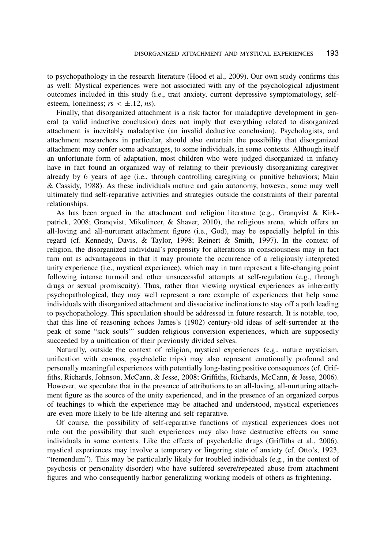to psychopathology in the research literature (Hood et al., 2009). Our own study confirms this as well: Mystical experiences were not associated with any of the psychological adjustment outcomes included in this study (i.e., trait anxiety, current depressive symptomatology, selfesteem, loneliness;  $rs < \pm .12$ ,  $ns$ ).

Finally, that disorganized attachment is a risk factor for maladaptive development in general (a valid inductive conclusion) does not imply that everything related to disorganized attachment is inevitably maladaptive (an invalid deductive conclusion). Psychologists, and attachment researchers in particular, should also entertain the possibility that disorganized attachment may confer some advantages, to some individuals, in some contexts. Although itself an unfortunate form of adaptation, most children who were judged disorganized in infancy have in fact found an organized way of relating to their previously disorganizing caregiver already by 6 years of age (i.e., through controlling caregiving or punitive behaviors; Main & Cassidy, 1988). As these individuals mature and gain autonomy, however, some may well ultimately find self-reparative activities and strategies outside the constraints of their parental relationships.

As has been argued in the attachment and religion literature (e.g., Granqvist & Kirkpatrick, 2008; Granqvist, Mikulincer, & Shaver, 2010), the religious arena, which offers an all-loving and all-nurturant attachment figure (i.e., God), may be especially helpful in this regard (cf. Kennedy, Davis, & Taylor, 1998; Reinert & Smith, 1997). In the context of religion, the disorganized individual's propensity for alterations in consciousness may in fact turn out as advantageous in that it may promote the occurrence of a religiously interpreted unity experience (i.e., mystical experience), which may in turn represent a life-changing point following intense turmoil and other unsuccessful attempts at self-regulation (e.g., through drugs or sexual promiscuity). Thus, rather than viewing mystical experiences as inherently psychopathological, they may well represent a rare example of experiences that help some individuals with disorganized attachment and dissociative inclinations to stay off a path leading to psychopathology. This speculation should be addressed in future research. It is notable, too, that this line of reasoning echoes James's (1902) century-old ideas of self-surrender at the peak of some "sick souls"' sudden religious conversion experiences, which are supposedly succeeded by a unification of their previously divided selves.

Naturally, outside the context of religion, mystical experiences (e.g., nature mysticism, unification with cosmos, psychedelic trips) may also represent emotionally profound and personally meaningful experiences with potentially long-lasting positive consequences (cf. Griffiths, Richards, Johnson, McCann, & Jesse, 2008; Griffiths, Richards, McCann, & Jesse, 2006). However, we speculate that in the presence of attributions to an all-loving, all-nurturing attachment figure as the source of the unity experienced, and in the presence of an organized corpus of teachings to which the experience may be attached and understood, mystical experiences are even more likely to be life-altering and self-reparative.

Of course, the possibility of self-reparative functions of mystical experiences does not rule out the possibility that such experiences may also have destructive effects on some individuals in some contexts. Like the effects of psychedelic drugs (Griffiths et al., 2006), mystical experiences may involve a temporary or lingering state of anxiety (cf. Otto's, 1923, "tremendum"). This may be particularly likely for troubled individuals (e.g., in the context of psychosis or personality disorder) who have suffered severe/repeated abuse from attachment figures and who consequently harbor generalizing working models of others as frightening.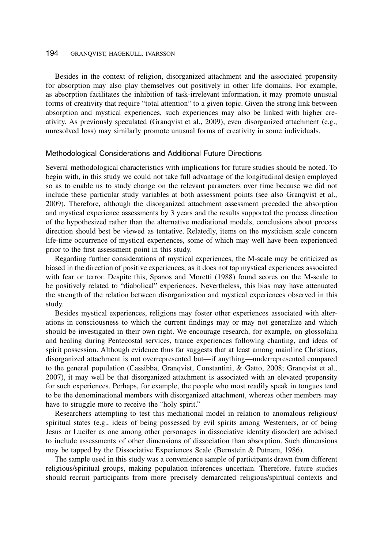Besides in the context of religion, disorganized attachment and the associated propensity for absorption may also play themselves out positively in other life domains. For example, as absorption facilitates the inhibition of task-irrelevant information, it may promote unusual forms of creativity that require "total attention" to a given topic. Given the strong link between absorption and mystical experiences, such experiences may also be linked with higher creativity. As previously speculated (Granqvist et al., 2009), even disorganized attachment (e.g., unresolved loss) may similarly promote unusual forms of creativity in some individuals.

#### Methodological Considerations and Additional Future Directions

Several methodological characteristics with implications for future studies should be noted. To begin with, in this study we could not take full advantage of the longitudinal design employed so as to enable us to study change on the relevant parameters over time because we did not include these particular study variables at both assessment points (see also Granqvist et al., 2009). Therefore, although the disorganized attachment assessment preceded the absorption and mystical experience assessments by 3 years and the results supported the process direction of the hypothesized rather than the alternative mediational models, conclusions about process direction should best be viewed as tentative. Relatedly, items on the mysticism scale concern life-time occurrence of mystical experiences, some of which may well have been experienced prior to the first assessment point in this study.

Regarding further considerations of mystical experiences, the M-scale may be criticized as biased in the direction of positive experiences, as it does not tap mystical experiences associated with fear or terror. Despite this, Spanos and Moretti (1988) found scores on the M-scale to be positively related to "diabolical" experiences. Nevertheless, this bias may have attenuated the strength of the relation between disorganization and mystical experiences observed in this study.

Besides mystical experiences, religions may foster other experiences associated with alterations in consciousness to which the current findings may or may not generalize and which should be investigated in their own right. We encourage research, for example, on glossolalia and healing during Pentecostal services, trance experiences following chanting, and ideas of spirit possession. Although evidence thus far suggests that at least among mainline Christians, disorganized attachment is not overrepresented but—if anything—underrepresented compared to the general population (Cassibba, Granqvist, Constantini, & Gatto, 2008; Granqvist et al., 2007), it may well be that disorganized attachment is associated with an elevated propensity for such experiences. Perhaps, for example, the people who most readily speak in tongues tend to be the denominational members with disorganized attachment, whereas other members may have to struggle more to receive the "holy spirit."

Researchers attempting to test this mediational model in relation to anomalous religious/ spiritual states (e.g., ideas of being possessed by evil spirits among Westerners, or of being Jesus or Lucifer as one among other personages in dissociative identity disorder) are advised to include assessments of other dimensions of dissociation than absorption. Such dimensions may be tapped by the Dissociative Experiences Scale (Bernstein & Putnam, 1986).

The sample used in this study was a convenience sample of participants drawn from different religious/spiritual groups, making population inferences uncertain. Therefore, future studies should recruit participants from more precisely demarcated religious/spiritual contexts and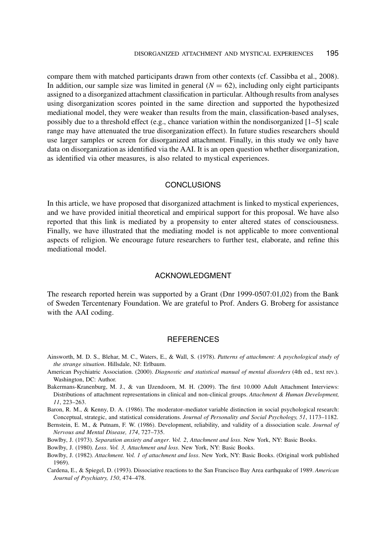compare them with matched participants drawn from other contexts (cf. Cassibba et al., 2008). In addition, our sample size was limited in general  $(N = 62)$ , including only eight participants assigned to a disorganized attachment classification in particular. Although results from analyses using disorganization scores pointed in the same direction and supported the hypothesized mediational model, they were weaker than results from the main, classification-based analyses, possibly due to a threshold effect (e.g., chance variation within the nondisorganized  $[1-5]$  scale range may have attenuated the true disorganization effect). In future studies researchers should use larger samples or screen for disorganized attachment. Finally, in this study we only have data on disorganization as identified via the AAI. It is an open question whether disorganization, as identified via other measures, is also related to mystical experiences.

#### **CONCLUSIONS**

In this article, we have proposed that disorganized attachment is linked to mystical experiences, and we have provided initial theoretical and empirical support for this proposal. We have also reported that this link is mediated by a propensity to enter altered states of consciousness. Finally, we have illustrated that the mediating model is not applicable to more conventional aspects of religion. We encourage future researchers to further test, elaborate, and refine this mediational model.

## ACKNOWLEDGMENT

The research reported herein was supported by a Grant (Dnr 1999-0507:01,02) from the Bank of Sweden Tercentenary Foundation. We are grateful to Prof. Anders G. Broberg for assistance with the AAI coding.

#### **REFERENCES**

- Ainsworth, M. D. S., Blehar, M. C., Waters, E., & Wall, S. (1978). Patterns of attachment: A psychological study of the strange situation. Hillsdale, NJ: Erlbaum.
- American Psychiatric Association. (2000). Diagnostic and statistical manual of mental disorders (4th ed., text rev.). Washington, DC: Author.
- Bakermans-Kranenburg, M. J., & van IJzendoorn, M. H. (2009). The first 10.000 Adult Attachment Interviews: Distributions of attachment representations in clinical and non-clinical groups. Attachment & Human Development, 11, 223–263.

Baron, R. M., & Kenny, D. A. (1986). The moderator–mediator variable distinction in social psychological research: Conceptual, strategic, and statistical considerations. Journal of Personality and Social Psychology, 51, 1173–1182.

- Bernstein, E. M., & Putnam, F. W. (1986). Development, reliability, and validity of a dissociation scale. Journal of Nervous and Mental Disease, 174, 727–735.
- Bowlby, J. (1973). Separation anxiety and anger. Vol. 2, Attachment and loss. New York, NY: Basic Books.
- Bowlby, J. (1980). Loss. Vol. 3, Attachment and loss. New York, NY: Basic Books.
- Bowlby, J. (1982). Attachment. Vol. 1 of attachment and loss. New York, NY: Basic Books. (Original work published 1969).
- Cardena, E., & Spiegel, D. (1993). Dissociative reactions to the San Francisco Bay Area earthquake of 1989. American Journal of Psychiatry, 150, 474–478.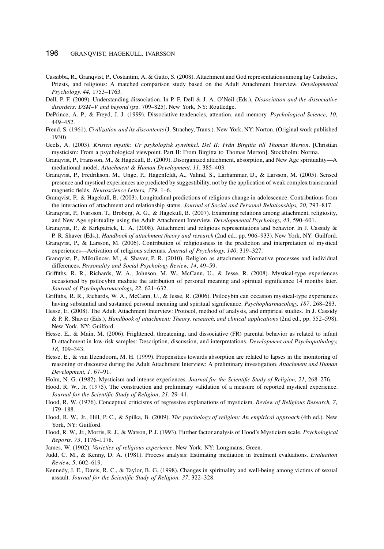- Cassibba, R., Granqvist, P., Costantini, A, & Gatto, S. (2008). Attachment and God representations among lay Catholics, Priests, and religious: A matched comparison study based on the Adult Attachment Interview. Developmental Psychology, 44, 1753–1763.
- Dell, P. F. (2009). Understanding dissociation. In P. F. Dell & J. A. O'Neil (Eds.), Dissociation and the dissociative disorders: DSM–V and beyond (pp. 709–825). New York, NY: Routledge.
- DePrince, A. P., & Freyd, J. J. (1999). Dissociative tendencies, attention, and memory. Psychological Science, 10, 449–452.
- Freud, S. (1961). Civilization and its discontents(J. Strachey, Trans.). New York, NY: Norton. (Original work published 1930)
- Geels, A. (2003). Kristen mystik: Ur psykologisk synvinkel. Del II: Från Birgitta till Thomas Merton. [Christian mysticism: From a psychological viewpoint. Part II: From Birgitta to Thomas Merton]. Stockholm: Norma.
- Granqvist, P., Fransson, M., & Hagekull, B. (2009). Disorganized attachment, absorption, and New Age spirituality—A mediational model. Attachment & Human Development, 11, 385–403.
- Granqvist, P., Fredrikson, M., Unge, P., Hagenfeldt, A., Valind, S., Larhammar, D., & Larsson, M. (2005). Sensed presence and mystical experiences are predicted by suggestibility, not by the application of weak complex transcranial magnetic fields. Neuroscience Letters, 379, 1–6.
- Granqvist, P., & Hagekull, B. (2003). Longitudinal predictions of religious change in adolescence: Contributions from the interaction of attachment and relationship status. Journal of Social and Personal Relationships, 20, 793–817.
- Granqvist, P., Ivarsson, T., Broberg, A. G., & Hagekull, B. (2007). Examining relations among attachment, religiosity, and New Age spirituality using the Adult Attachment Interview. Developmental Psychology, 43, 590–601.
- Granqvist, P., & Kirkpatrick, L. A. (2008). Attachment and religious representations and behavior. In J. Cassidy & P. R. Shaver (Eds.), Handbook of attachment theory and research (2nd ed., pp. 906–933). New York, NY: Guilford.
- Granqvist, P., & Larsson, M. (2006). Contribution of religiousness in the prediction and interpretation of mystical experiences—Activation of religious schemas. Journal of Psychology, 140, 319–327.
- Granqvist, P., Mikulincer, M., & Shaver, P. R. (2010). Religion as attachment: Normative processes and individual differences. Personality and Social Psychology Review, 14, 49–59.
- Griffiths, R. R., Richards, W. A., Johnson, M. W., McCann, U., & Jesse, R. (2008). Mystical-type experiences occasioned by psilocybin mediate the attribution of personal meaning and spiritual significance 14 months later. Journal of Psychopharmacology, 22, 621–632.
- Griffiths, R. R., Richards, W. A., McCann, U., & Jesse, R. (2006). Psilocybin can occasion mystical-type experiences having substantial and sustained personal meaning and spiritual significance. *Psychopharmacology*, 187, 268–283.
- Hesse, E. (2008). The Adult Attachment Interview: Protocol, method of analysis, and empirical studies. In J. Cassidy & P. R. Shaver (Eds.), Handbook of attachment: Theory, research, and clinical applications (2nd ed., pp. 552–598). New York, NY: Guilford.
- Hesse, E., & Main, M. (2006). Frightened, threatening, and dissociative (FR) parental behavior as related to infant D attachment in low-risk samples: Description, discussion, and interpretations. Development and Psychopathology, 18, 309–343.
- Hesse, E., & van IJzendoorn, M. H. (1999). Propensities towards absorption are related to lapses in the monitoring of reasoning or discourse during the Adult Attachment Interview: A preliminary investigation. Attachment and Human Development, 1, 67–91.
- Holm, N. G. (1982). Mysticism and intense experiences. Journal for the Scientific Study of Religion, 21, 268-276.
- Hood, R. W., Jr. (1975). The construction and preliminary validation of a measure of reported mystical experience. Journal for the Scientific Study of Religion, 21, 29–41.
- Hood, R. W. (1976). Conceptual criticisms of regressive explanations of mysticism. Review of Religious Research, 7, 179–188.
- Hood, R. W., Jr., Hill, P. C., & Spilka, B. (2009). The psychology of religion: An empirical approach (4th ed.). New York, NY: Guilford.
- Hood, R. W., Jr., Morris, R. J., & Watson, P. J. (1993). Further factor analysis of Hood's Mysticism scale. Psychological Reports, 73, 1176–1178.
- James, W. (1902). Varieties of religious experience. New York, NY: Longmans, Green.
- Judd, C. M., & Kenny, D. A. (1981). Process analysis: Estimating mediation in treatment evaluations. Evaluation Review, 5, 602–619.
- Kennedy, J. E., Davis, R. C., & Taylor, B. G. (1998). Changes in spirituality and well-being among victims of sexual assault. Journal for the Scientific Study of Religion, 37, 322–328.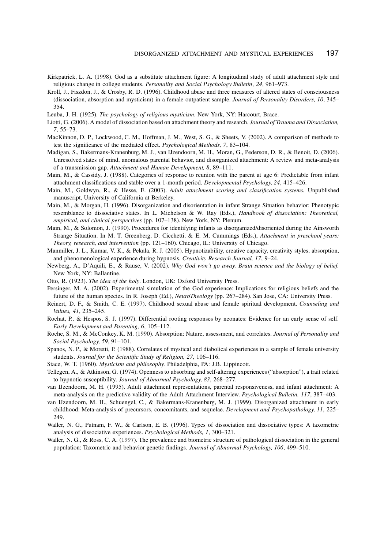- Kirkpatrick, L. A. (1998). God as a substitute attachment figure: A longitudinal study of adult attachment style and religious change in college students. Personality and Social Psychology Bulletin, 24, 961–973.
- Kroll, J., Fiszdon, J., & Crosby, R. D. (1996). Childhood abuse and three measures of altered states of consciousness (dissociation, absorption and mysticism) in a female outpatient sample. Journal of Personality Disorders, 10, 345– 354.
- Leuba, J. H. (1925). The psychology of religious mysticism. New York, NY: Harcourt, Brace.
- Liotti, G. (2006). A model of dissociation based on attachment theory and research. Journal of Trauma and Dissociation, 7, 55–73.
- MacKinnon, D. P., Lockwood, C. M., Hoffman, J. M., West, S. G., & Sheets, V. (2002). A comparison of methods to test the significance of the mediated effect. Psychological Methods, 7, 83–104.
- Madigan, S., Bakermans-Kranenburg, M. J., van IJzendoorn, M. H., Moran, G., Pederson, D. R., & Benoit, D. (2006). Unresolved states of mind, anomalous parental behavior, and disorganized attachment: A review and meta-analysis of a transmission gap. Attachment and Human Development, 8, 89–111.
- Main, M., & Cassidy, J. (1988). Categories of response to reunion with the parent at age 6: Predictable from infant attachment classifications and stable over a 1-month period. Developmental Psychology, 24, 415–426.
- Main, M., Goldwyn, R., & Hesse, E. (2003). Adult attachment scoring and classification systems. Unpublished manuscript, University of California at Berkeley.
- Main, M., & Morgan, H. (1996). Disorganization and disorientation in infant Strange Situation behavior: Phenotypic resemblance to dissociative states. In L. Michelson & W. Ray (Eds.), Handbook of dissociation: Theoretical, empirical, and clinical perspectives (pp. 107–138). New York, NY: Plenum.
- Main, M., & Solomon, J. (1990). Procedures for identifying infants as disorganized/disoriented during the Ainsworth Strange Situation. In M. T. Greenberg, D. Cicchetti, & E. M. Cummings (Eds.), Attachment in preschool years: Theory, research, and intervention (pp. 121–160). Chicago, IL: University of Chicago.
- Manmiller, J. L., Kumar, V. K., & Pekala, R. J. (2005). Hypnotizability, creative capacity, creativity styles, absorption, and phenomenological experience during hypnosis. Creativity Research Journal, 17, 9–24.
- Newberg, A., D'Aquili, E., & Rause, V. (2002). Why God won't go away. Brain science and the biology of belief. New York, NY: Ballantine.
- Otto, R. (1923). The idea of the holy. London, UK: Oxford University Press.
- Persinger, M. A. (2002). Experimental simulation of the God experience: Implications for religious beliefs and the future of the human species. In R. Joseph (Ed.), *NeuroTheology* (pp. 267–284). San Jose, CA: University Press.
- Reinert, D. F., & Smith, C. E. (1997). Childhood sexual abuse and female spiritual development. Counseling and Values, 41, 235–245.
- Rochat, P., & Hespos, S. J. (1997). Differential rooting responses by neonates: Evidence for an early sense of self. Early Development and Parenting, 6, 105–112.
- Roche, S. M., & McConkey, K. M. (1990). Absorption: Nature, assessment, and correlates. Journal of Personality and Social Psychology, 59, 91–101.
- Spanos, N. P., & Moretti, P. (1988). Correlates of mystical and diabolical experiences in a sample of female university students. Journal for the Scientific Study of Religion, 27, 106–116.
- Stace, W. T. (1960). Mysticism and philosophy. Philadelphia, PA: J.B. Lippincott.
- Tellegen, A., & Atkinson, G. (1974). Openness to absorbing and self-altering experiences ("absorption"), a trait related to hypnotic susceptibility. Journal of Abnormal Psychology, 83, 268–277.
- van IJzendoorn, M. H. (1995). Adult attachment representations, parental responsiveness, and infant attachment: A meta-analysis on the predictive validity of the Adult Attachment Interview. Psychological Bulletin, 117, 387–403.
- van IJzendoorn, M. H., Schuengel, C., & Bakermans-Kranenburg, M. J. (1999). Disorganized attachment in early childhood: Meta-analysis of precursors, concomitants, and sequelae. Development and Psychopathology, 11, 225– 249.
- Waller, N. G., Putnam, F. W., & Carlson, E. B. (1996). Types of dissociation and dissociative types: A taxometric analysis of dissociative experiences. Psychological Methods, 1, 300–321.
- Waller, N. G., & Ross, C. A. (1997). The prevalence and biometric structure of pathological dissociation in the general population: Taxometric and behavior genetic findings. Journal of Abnormal Psychology, 106, 499–510.